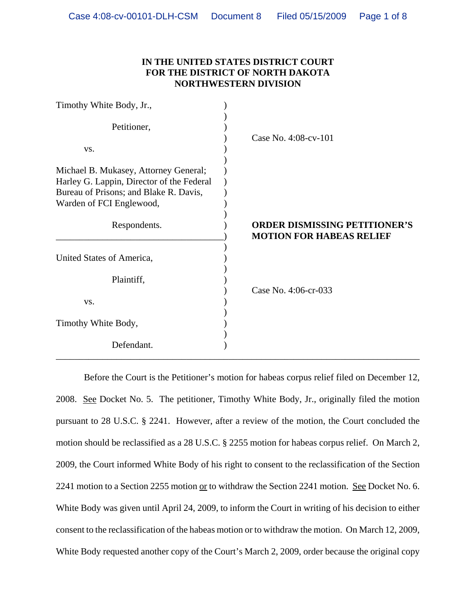# **IN THE UNITED STATES DISTRICT COURT FOR THE DISTRICT OF NORTH DAKOTA NORTHWESTERN DIVISION**

| Timothy White Body, Jr.,                                                                                                                                 |                                                                         |
|----------------------------------------------------------------------------------------------------------------------------------------------------------|-------------------------------------------------------------------------|
| Petitioner,                                                                                                                                              | Case No. 4:08-cv-101                                                    |
| VS.                                                                                                                                                      |                                                                         |
| Michael B. Mukasey, Attorney General;<br>Harley G. Lappin, Director of the Federal<br>Bureau of Prisons; and Blake R. Davis,<br>Warden of FCI Englewood, |                                                                         |
| Respondents.                                                                                                                                             | <b>ORDER DISMISSING PETITIONER'S</b><br><b>MOTION FOR HABEAS RELIEF</b> |
| United States of America,                                                                                                                                |                                                                         |
| Plaintiff,                                                                                                                                               | Case No. 4:06-cr-033                                                    |
| VS.                                                                                                                                                      |                                                                         |
| Timothy White Body,                                                                                                                                      |                                                                         |
| Defendant.                                                                                                                                               |                                                                         |

Before the Court is the Petitioner's motion for habeas corpus relief filed on December 12, 2008. See Docket No. 5. The petitioner, Timothy White Body, Jr., originally filed the motion pursuant to 28 U.S.C. § 2241. However, after a review of the motion, the Court concluded the motion should be reclassified as a 28 U.S.C. § 2255 motion for habeas corpus relief. On March 2, 2009, the Court informed White Body of his right to consent to the reclassification of the Section 2241 motion to a Section 2255 motion or to withdraw the Section 2241 motion. See Docket No. 6. White Body was given until April 24, 2009, to inform the Court in writing of his decision to either consent to the reclassification of the habeas motion or to withdraw the motion. On March 12, 2009, White Body requested another copy of the Court's March 2, 2009, order because the original copy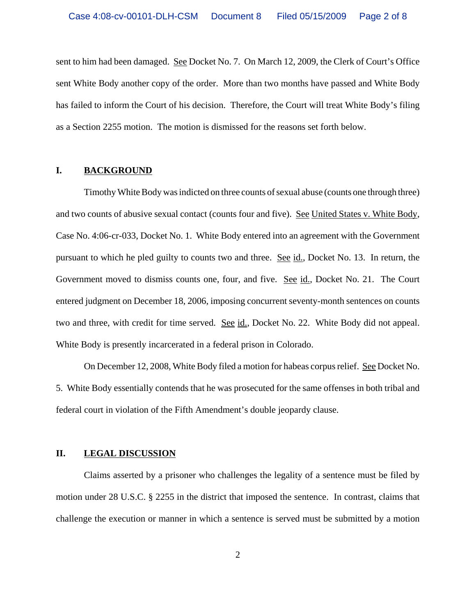sent to him had been damaged. See Docket No. 7. On March 12, 2009, the Clerk of Court's Office sent White Body another copy of the order. More than two months have passed and White Body has failed to inform the Court of his decision. Therefore, the Court will treat White Body's filing as a Section 2255 motion. The motion is dismissed for the reasons set forth below.

#### **I. BACKGROUND**

Timothy White Body was indicted on three counts of sexual abuse (counts one through three) and two counts of abusive sexual contact (counts four and five). See United States v. White Body, Case No. 4:06-cr-033, Docket No. 1. White Body entered into an agreement with the Government pursuant to which he pled guilty to counts two and three. See id., Docket No. 13. In return, the Government moved to dismiss counts one, four, and five. See id., Docket No. 21. The Court entered judgment on December 18, 2006, imposing concurrent seventy-month sentences on counts two and three, with credit for time served. See id., Docket No. 22. White Body did not appeal. White Body is presently incarcerated in a federal prison in Colorado.

On December 12, 2008, White Body filed a motion for habeas corpus relief. See Docket No. 5. White Body essentially contends that he was prosecuted for the same offenses in both tribal and federal court in violation of the Fifth Amendment's double jeopardy clause.

#### **II. LEGAL DISCUSSION**

Claims asserted by a prisoner who challenges the legality of a sentence must be filed by motion under 28 U.S.C. § 2255 in the district that imposed the sentence. In contrast, claims that challenge the execution or manner in which a sentence is served must be submitted by a motion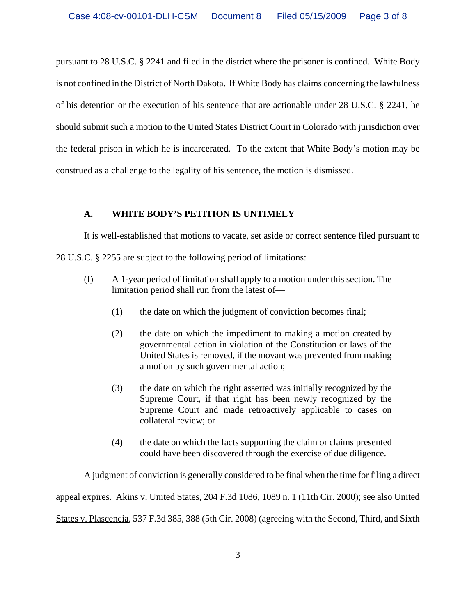pursuant to 28 U.S.C. § 2241 and filed in the district where the prisoner is confined. White Body is not confined in the District of North Dakota. If White Body has claims concerning the lawfulness of his detention or the execution of his sentence that are actionable under 28 U.S.C. § 2241, he should submit such a motion to the United States District Court in Colorado with jurisdiction over the federal prison in which he is incarcerated. To the extent that White Body's motion may be construed as a challenge to the legality of his sentence, the motion is dismissed.

# **A. WHITE BODY'S PETITION IS UNTIMELY**

It is well-established that motions to vacate, set aside or correct sentence filed pursuant to 28 U.S.C. § 2255 are subject to the following period of limitations:

- (f) A 1-year period of limitation shall apply to a motion under this section. The limitation period shall run from the latest of—
	- (1) the date on which the judgment of conviction becomes final;
	- (2) the date on which the impediment to making a motion created by governmental action in violation of the Constitution or laws of the United States is removed, if the movant was prevented from making a motion by such governmental action;
	- (3) the date on which the right asserted was initially recognized by the Supreme Court, if that right has been newly recognized by the Supreme Court and made retroactively applicable to cases on collateral review; or
	- (4) the date on which the facts supporting the claim or claims presented could have been discovered through the exercise of due diligence.

A judgment of conviction is generally considered to be final when the time for filing a direct appeal expires. Akins v. United States, 204 F.3d 1086, 1089 n. 1 (11th Cir. 2000); see also United States v. Plascencia, 537 F.3d 385, 388 (5th Cir. 2008) (agreeing with the Second, Third, and Sixth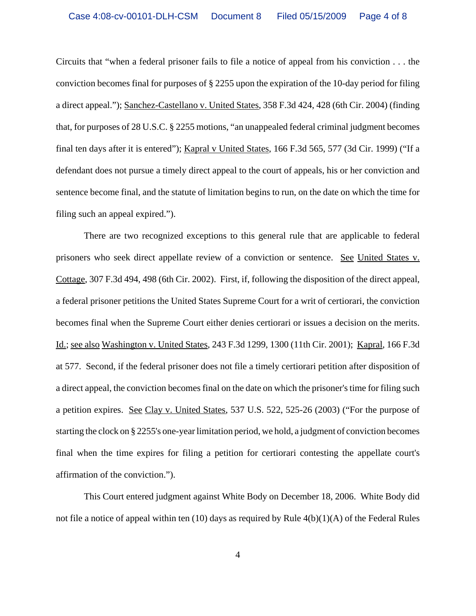Circuits that "when a federal prisoner fails to file a notice of appeal from his conviction . . . the conviction becomes final for purposes of § 2255 upon the expiration of the 10-day period for filing a direct appeal."); Sanchez-Castellano v. United States, 358 F.3d 424, 428 (6th Cir. 2004) (finding that, for purposes of 28 U.S.C. § 2255 motions, "an unappealed federal criminal judgment becomes final ten days after it is entered"); Kapral v United States, 166 F.3d 565, 577 (3d Cir. 1999) ("If a defendant does not pursue a timely direct appeal to the court of appeals, his or her conviction and sentence become final, and the statute of limitation begins to run, on the date on which the time for filing such an appeal expired.").

There are two recognized exceptions to this general rule that are applicable to federal prisoners who seek direct appellate review of a conviction or sentence. See United States v. Cottage, 307 F.3d 494, 498 (6th Cir. 2002). First, if, following the disposition of the direct appeal, a federal prisoner petitions the United States Supreme Court for a writ of certiorari, the conviction becomes final when the Supreme Court either denies certiorari or issues a decision on the merits. Id.; see also Washington v. United States, 243 F.3d 1299, 1300 (11th Cir. 2001); Kapral, 166 F.3d at 577. Second, if the federal prisoner does not file a timely certiorari petition after disposition of a direct appeal, the conviction becomes final on the date on which the prisoner's time for filing such a petition expires. See Clay v. United States, 537 U.S. 522, 525-26 (2003) ("For the purpose of starting the clock on § 2255's one-year limitation period, we hold, a judgment of conviction becomes final when the time expires for filing a petition for certiorari contesting the appellate court's affirmation of the conviction.").

This Court entered judgment against White Body on December 18, 2006. White Body did not file a notice of appeal within ten (10) days as required by Rule 4(b)(1)(A) of the Federal Rules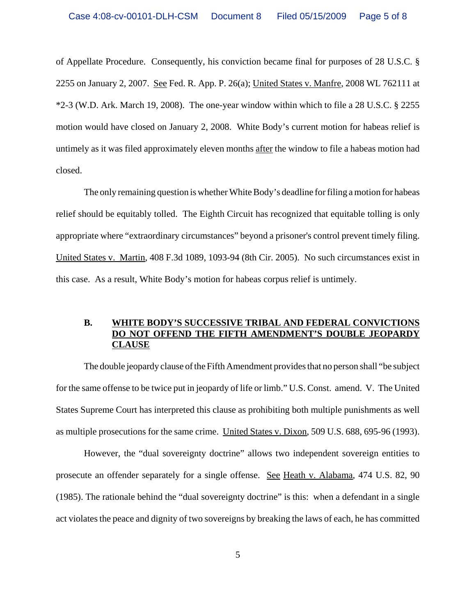of Appellate Procedure. Consequently, his conviction became final for purposes of 28 U.S.C. § 2255 on January 2, 2007. See Fed. R. App. P. 26(a); United States v. Manfre, 2008 WL 762111 at \*2-3 (W.D. Ark. March 19, 2008). The one-year window within which to file a 28 U.S.C. § 2255 motion would have closed on January 2, 2008. White Body's current motion for habeas relief is untimely as it was filed approximately eleven months after the window to file a habeas motion had closed.

The only remaining question is whether White Body's deadline for filing a motion for habeas relief should be equitably tolled. The Eighth Circuit has recognized that equitable tolling is only appropriate where "extraordinary circumstances" beyond a prisoner's control prevent timely filing. United States v. Martin, 408 F.3d 1089, 1093-94 (8th Cir. 2005). No such circumstances exist in this case. As a result, White Body's motion for habeas corpus relief is untimely.

### **B. WHITE BODY'S SUCCESSIVE TRIBAL AND FEDERAL CONVICTIONS DO NOT OFFEND THE FIFTH AMENDMENT'S DOUBLE JEOPARDY CLAUSE**

The double jeopardy clause of the Fifth Amendment provides that no person shall "be subject for the same offense to be twice put in jeopardy of life or limb." U.S. Const. amend. V. The United States Supreme Court has interpreted this clause as prohibiting both multiple punishments as well as multiple prosecutions for the same crime. United States v. Dixon, 509 U.S. 688, 695-96 (1993).

However, the "dual sovereignty doctrine" allows two independent sovereign entities to prosecute an offender separately for a single offense. See Heath v. Alabama, 474 U.S. 82, 90 (1985). The rationale behind the "dual sovereignty doctrine" is this: when a defendant in a single act violates the peace and dignity of two sovereigns by breaking the laws of each, he has committed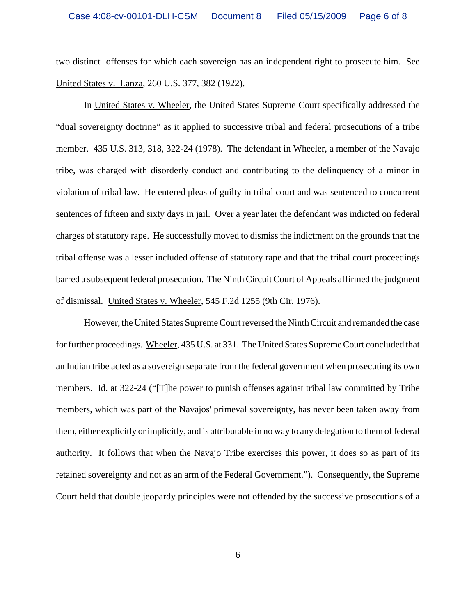two distinct offenses for which each sovereign has an independent right to prosecute him. See United States v. Lanza, 260 U.S. 377, 382 (1922).

In United States v. Wheeler, the United States Supreme Court specifically addressed the "dual sovereignty doctrine" as it applied to successive tribal and federal prosecutions of a tribe member. 435 U.S. 313, 318, 322-24 (1978). The defendant in Wheeler, a member of the Navajo tribe, was charged with disorderly conduct and contributing to the delinquency of a minor in violation of tribal law. He entered pleas of guilty in tribal court and was sentenced to concurrent sentences of fifteen and sixty days in jail. Over a year later the defendant was indicted on federal charges of statutory rape. He successfully moved to dismiss the indictment on the grounds that the tribal offense was a lesser included offense of statutory rape and that the tribal court proceedings barred a subsequent federal prosecution. The Ninth Circuit Court of Appeals affirmed the judgment of dismissal. United States v. Wheeler, 545 F.2d 1255 (9th Cir. 1976).

However, the United States Supreme Court reversed the Ninth Circuit and remanded the case for further proceedings. Wheeler, 435 U.S. at 331. The United States Supreme Court concluded that an Indian tribe acted as a sovereign separate from the federal government when prosecuting its own members. Id. at 322-24 ("The power to punish offenses against tribal law committed by Tribe members, which was part of the Navajos' primeval sovereignty, has never been taken away from them, either explicitly or implicitly, and is attributable in no way to any delegation to them of federal authority. It follows that when the Navajo Tribe exercises this power, it does so as part of its retained sovereignty and not as an arm of the Federal Government."). Consequently, the Supreme Court held that double jeopardy principles were not offended by the successive prosecutions of a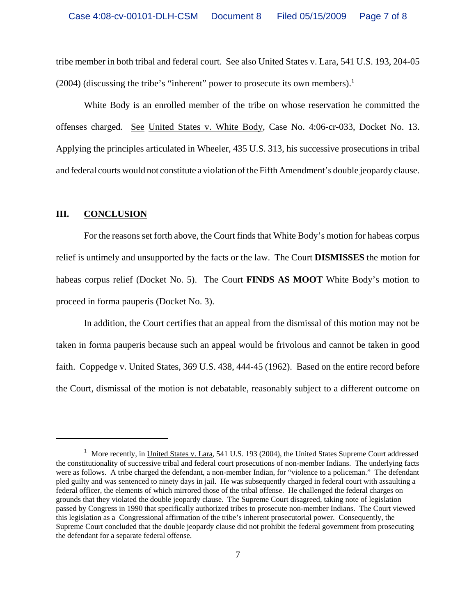tribe member in both tribal and federal court. See also United States v. Lara, 541 U.S. 193, 204-05 (2004) (discussing the tribe's "inherent" power to prosecute its own members).<sup>1</sup>

White Body is an enrolled member of the tribe on whose reservation he committed the offenses charged. See United States v. White Body, Case No. 4:06-cr-033, Docket No. 13. Applying the principles articulated in Wheeler, 435 U.S. 313, his successive prosecutions in tribal and federal courts would not constitute a violation of the Fifth Amendment's double jeopardy clause.

## **III. CONCLUSION**

For the reasons set forth above, the Court finds that White Body's motion for habeas corpus relief is untimely and unsupported by the facts or the law. The Court **DISMISSES** the motion for habeas corpus relief (Docket No. 5). The Court **FINDS AS MOOT** White Body's motion to proceed in forma pauperis (Docket No. 3).

In addition, the Court certifies that an appeal from the dismissal of this motion may not be taken in forma pauperis because such an appeal would be frivolous and cannot be taken in good faith. Coppedge v. United States, 369 U.S. 438, 444-45 (1962). Based on the entire record before the Court, dismissal of the motion is not debatable, reasonably subject to a different outcome on

<sup>&</sup>lt;sup>1</sup> More recently, in United States v. Lara, 541 U.S. 193 (2004), the United States Supreme Court addressed the constitutionality of successive tribal and federal court prosecutions of non-member Indians. The underlying facts were as follows. A tribe charged the defendant, a non-member Indian, for "violence to a policeman." The defendant pled guilty and was sentenced to ninety days in jail. He was subsequently charged in federal court with assaulting a federal officer, the elements of which mirrored those of the tribal offense. He challenged the federal charges on grounds that they violated the double jeopardy clause. The Supreme Court disagreed, taking note of legislation passed by Congress in 1990 that specifically authorized tribes to prosecute non-member Indians. The Court viewed this legislation as a Congressional affirmation of the tribe's inherent prosecutorial power. Consequently, the Supreme Court concluded that the double jeopardy clause did not prohibit the federal government from prosecuting the defendant for a separate federal offense.